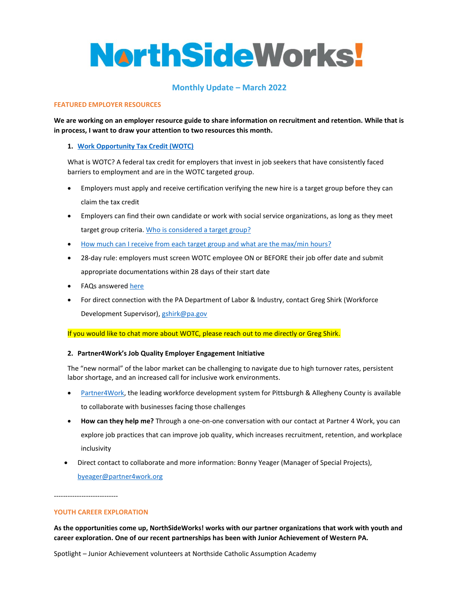# **NorthSideWorks!**

## **Monthly Update – March 2022**

#### **FEATURED EMPLOYER RESOURCES**

**We are working on an employer resource guide to share information on recruitment and retention. While that is in process, I want to draw your attention to two resources this month.** 

## **1. [Work Opportunity Tax Credit \(WOTC\)](https://www.dol.gov/agencies/eta/wotc)**

What is WOTC? A federal tax credit for employers that invest in job seekers that have consistently faced barriers to employment and are in the WOTC targeted group.

- Employers must apply and receive certification verifying the new hire is a target group before they can claim the tax credit
- Employers can find their own candidate or work with social service organizations, as long as they meet target group criteria. [Who is considered a target group?](https://www.northsidechamberofcommerce.com/application/files/2516/4804/7950/WOTC_Target_Group_Definitions_with_their_Letter_Designations.pdf)
- [How much can I receive from each target group and what are the max/min](https://www.northsidechamberofcommerce.com/application/files/4716/4804/8288/Target_Groups_Amounts__Hours.pdf) hours?
- 28-day rule: employers must screen WOTC employee ON or BEFORE their job offer date and submit appropriate documentations within 28 days of their start date
- FAQs answered [here](https://www.northsidechamberofcommerce.com/application/files/1616/4804/8350/Work_Opportunity_Tax_Credit_FAQ.pdf)
- For direct connection with the PA Department of Labor & Industry, contact Greg Shirk (Workforce Development Supervisor), [gshirk@pa.gov](mailto:gshirk@pa.gov)

If you would like to chat more about WOTC, please reach out to me directly or Greg Shirk.

## **2. Partner4Work's Job Quality Employer Engagement Initiative**

The "new normal" of the labor market can be challenging to navigate due to high turnover rates, persistent labor shortage, and an increased call for inclusive work environments.

- [Partner4Work,](https://www.partner4work.org/) the leading workforce development system for Pittsburgh & Allegheny County is available to collaborate with businesses facing those challenges
- **How can they help me?** Through a one-on-one conversation with our contact at Partner 4 Work, you can explore job practices that can improve job quality, which increases recruitment, retention, and workplace inclusivity
- Direct contact to collaborate and more information: Bonny Yeager (Manager of Special Projects), [byeager@partner4work.org](mailto:byeager@partner4work.org)

----------------------------

#### **YOUTH CAREER EXPLORATION**

**As the opportunities come up, NorthSideWorks! works with our partner organizations that work with youth and career exploration. One of our recent partnerships has been with Junior Achievement of Western PA.** 

Spotlight – Junior Achievement volunteers at Northside Catholic Assumption Academy